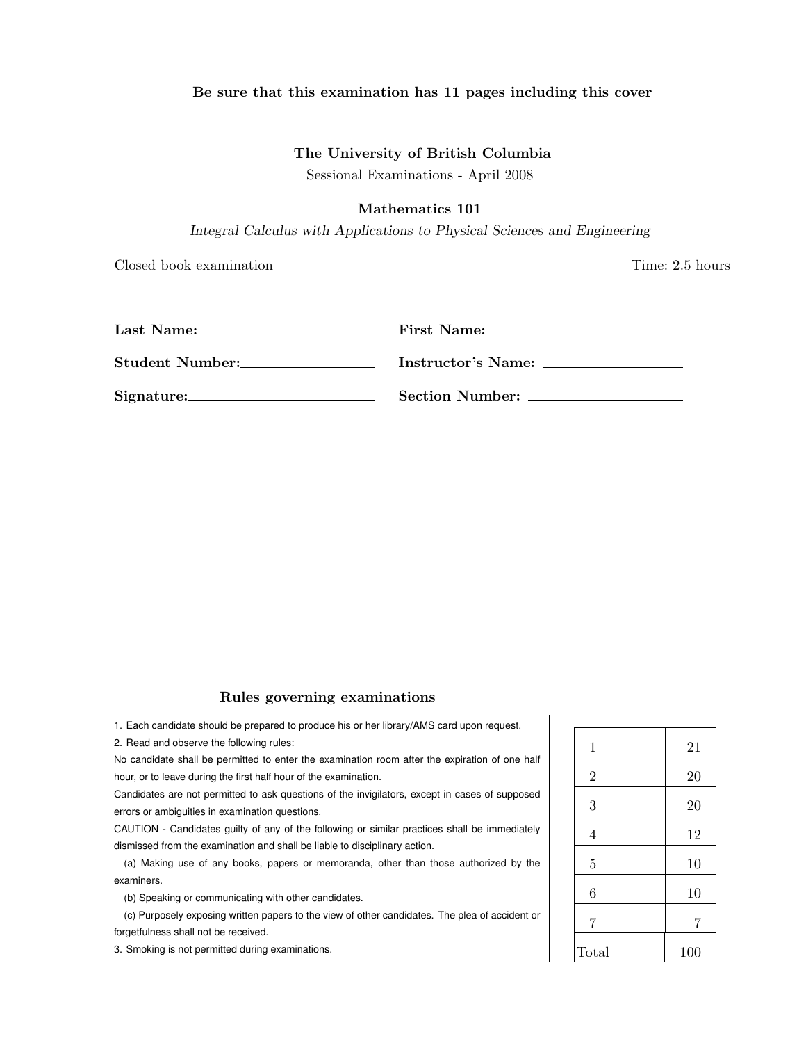### Be sure that this examination has 11 pages including this cover

## The University of British Columbia

Sessional Examinations - April 2008

# Mathematics 101

*Integral Calculus with Applications to Physical Sciences and Engineering*

Closed book examination Time: 2.5 hours

12

|                 | First Name:             |
|-----------------|-------------------------|
| Student Number: | Instructor's Name:      |
|                 | Section Number: _______ |

# Rules governing examinations

| 1. Each candidate should be prepared to produce his or her library/AMS card upon request.                                                         |                |     |
|---------------------------------------------------------------------------------------------------------------------------------------------------|----------------|-----|
| 2. Read and observe the following rules:                                                                                                          | 1              | 21  |
| No candidate shall be permitted to enter the examination room after the expiration of one half                                                    |                |     |
| hour, or to leave during the first half hour of the examination.                                                                                  | $\overline{2}$ | 20  |
| Candidates are not permitted to ask questions of the invigilators, except in cases of supposed<br>errors or ambiguities in examination questions. | 3              | 20  |
| CAUTION - Candidates guilty of any of the following or similar practices shall be immediately                                                     | 4              | 12  |
| dismissed from the examination and shall be liable to disciplinary action.                                                                        |                |     |
| (a) Making use of any books, papers or memoranda, other than those authorized by the                                                              | 5              | 10  |
| examiners.                                                                                                                                        |                |     |
| (b) Speaking or communicating with other candidates.                                                                                              | 6              | 10  |
| (c) Purposely exposing written papers to the view of other candidates. The plea of accident or                                                    | 7              | 7   |
| forgetfulness shall not be received.                                                                                                              |                |     |
| 3. Smoking is not permitted during examinations.                                                                                                  | Total          | 100 |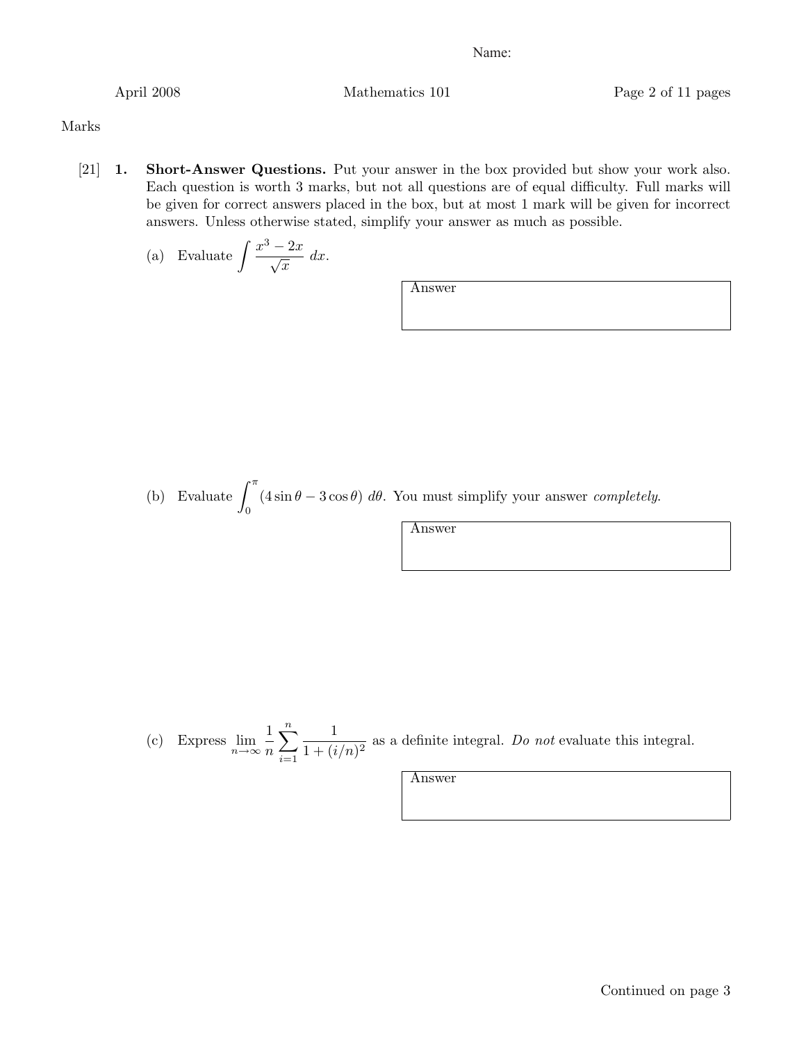April 2008 Mathematics 101 Page 2 of 11 pages

Marks

[21] 1. Short-Answer Questions. Put your answer in the box provided but show your work also. Each question is worth 3 marks, but not all questions are of equal difficulty. Full marks will be given for correct answers placed in the box, but at most 1 mark will be given for incorrect answers. Unless otherwise stated, simplify your answer as much as possible.

(a) Evaluate 
$$
\int \frac{x^3 - 2x}{\sqrt{x}} dx
$$
.

Answer

(b) Evaluate  $\int_0^{\pi}$  $(4 \sin \theta - 3 \cos \theta) d\theta$ . You must simplify your answer *completely*.

Answer

(c) Express 
$$
\lim_{n \to \infty} \frac{1}{n} \sum_{i=1}^{n} \frac{1}{1 + (i/n)^2}
$$
 as a definite integral. Do not evaluate this integral.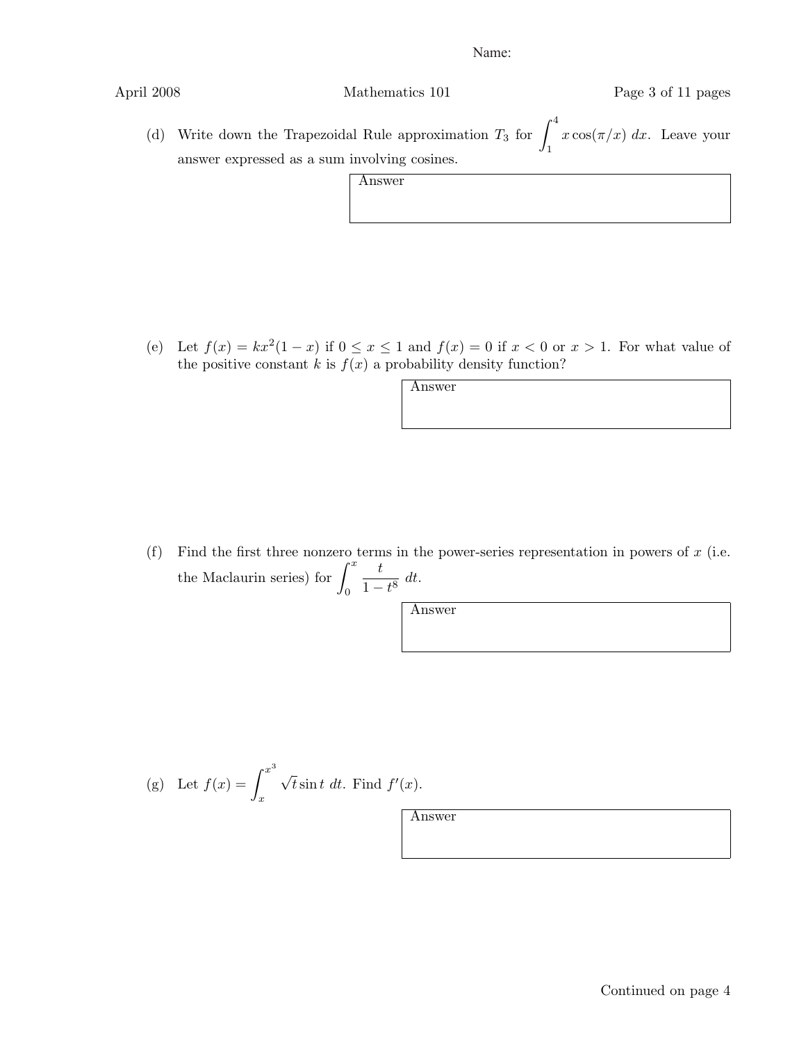| Mathematics 101 |
|-----------------|
|                 |

April 2008 Mathematics 101 Page 3 of 11 pages

(d) Write down the Trapezoidal Rule approximation  $T_3$  for  $\int_1^4$ 1  $x \cos(\pi/x) dx$ . Leave your answer expressed as a sum involving cosines.

| ۰Ŋ۰<br>υ<br>u<br>۳ |  |
|--------------------|--|
|                    |  |

(e) Let  $f(x) = kx^2(1-x)$  if  $0 \le x \le 1$  and  $f(x) = 0$  if  $x < 0$  or  $x > 1$ . For what value of the positive constant  $k$  is  $f(x)$  a probability density function?

Answer

(f) Find the first three nonzero terms in the power-series representation in powers of *x* (i.e. the Maclaurin series) for  $\int_0^x$  $\boldsymbol{0}$  $\frac{t}{1-t^8}$  *dt*.

Answer

(g) Let 
$$
f(x) = \int_x^{x^3} \sqrt{t} \sin t \ dt
$$
. Find  $f'(x)$ .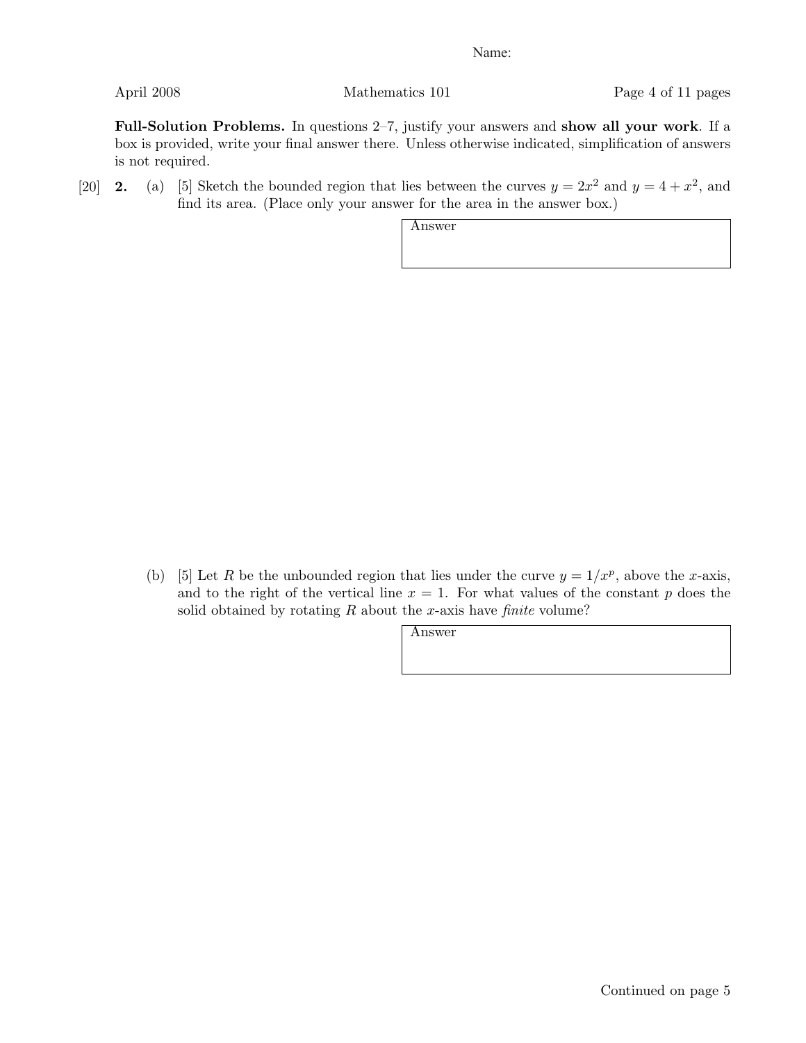April 2008 Mathematics 101 Page 4 of 11 pages

Full-Solution Problems. In questions 2–7, justify your answers and show all your work. If a box is provided, write your final answer there. Unless otherwise indicated, simplification of answers is not required.

[20] **2.** (a) [5] Sketch the bounded region that lies between the curves  $y = 2x^2$  and  $y = 4 + x^2$ , and find its area. (Place only your answer for the area in the answer box.)

Answer

(b) [5] Let *R* be the unbounded region that lies under the curve  $y = 1/x^p$ , above the *x*-axis, and to the right of the vertical line  $x = 1$ . For what values of the constant  $p$  does the solid obtained by rotating *R* about the *x*-axis have *finite* volume?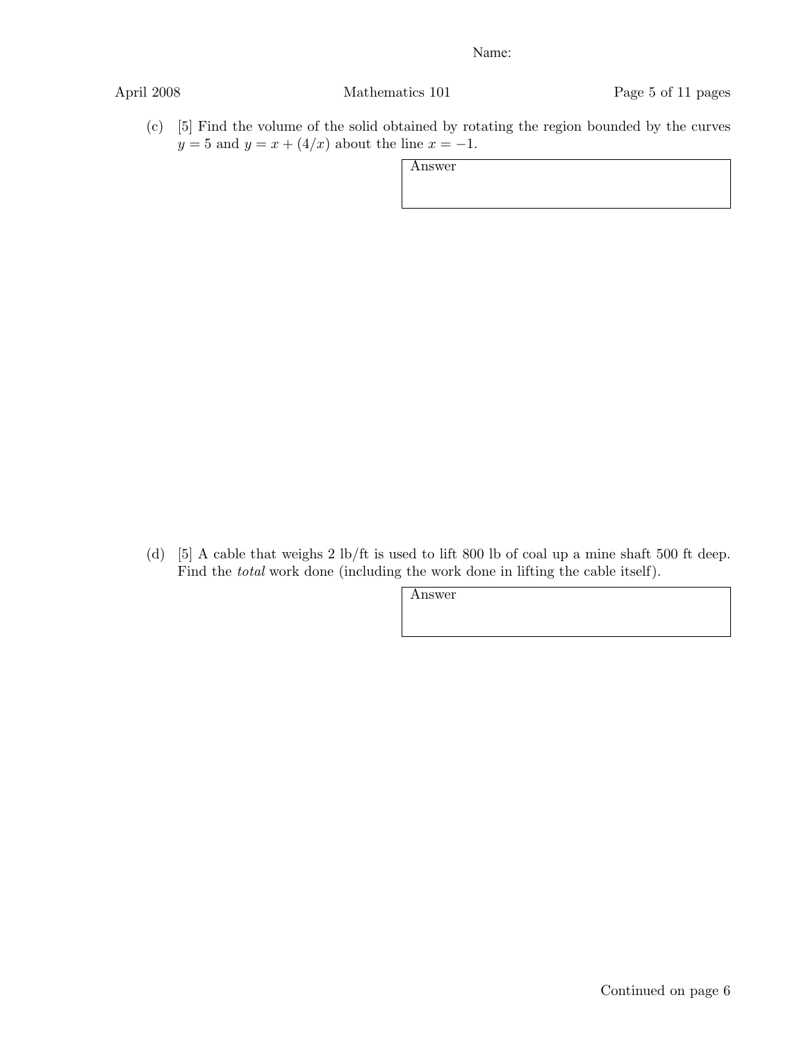April 2008 Mathematics 101 Page 5 of 11 pages

(c) [5] Find the volume of the solid obtained by rotating the region bounded by the curves *y* = 5 and *y* = *x* + (4/*x*) about the line *x* = -1.

Answer

(d) [5] A cable that weighs 2 lb/ft is used to lift 800 lb of coal up a mine shaft 500 ft deep. Find the *total* work done (including the work done in lifting the cable itself).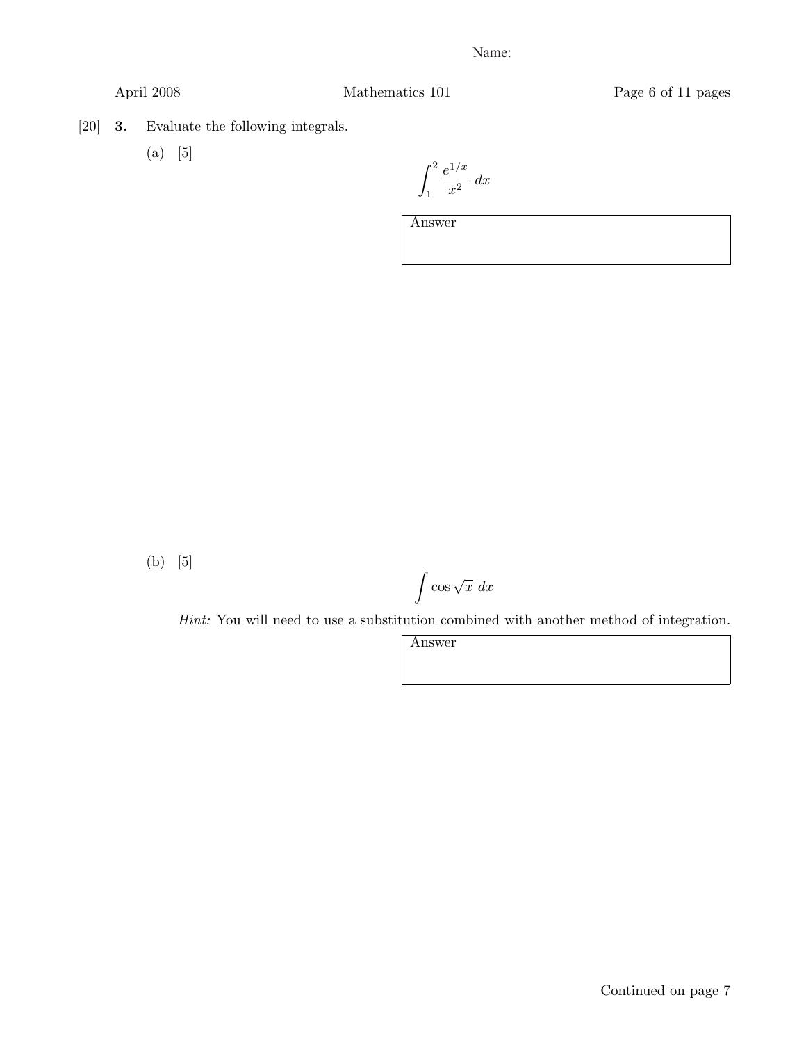April 2008 Mathematics 101 Page 6 of 11 pages

[20] 3. Evaluate the following integrals.

(a) [5]

 $\int_0^2$ 1 *e*<sup>1</sup>*/x*  $\frac{1}{x^2}$  *dx* 

Answer

(b) [5]

 $\int \cos \sqrt{x} \ dx$ 

*Hint:* You will need to use a substitution combined with another method of integration.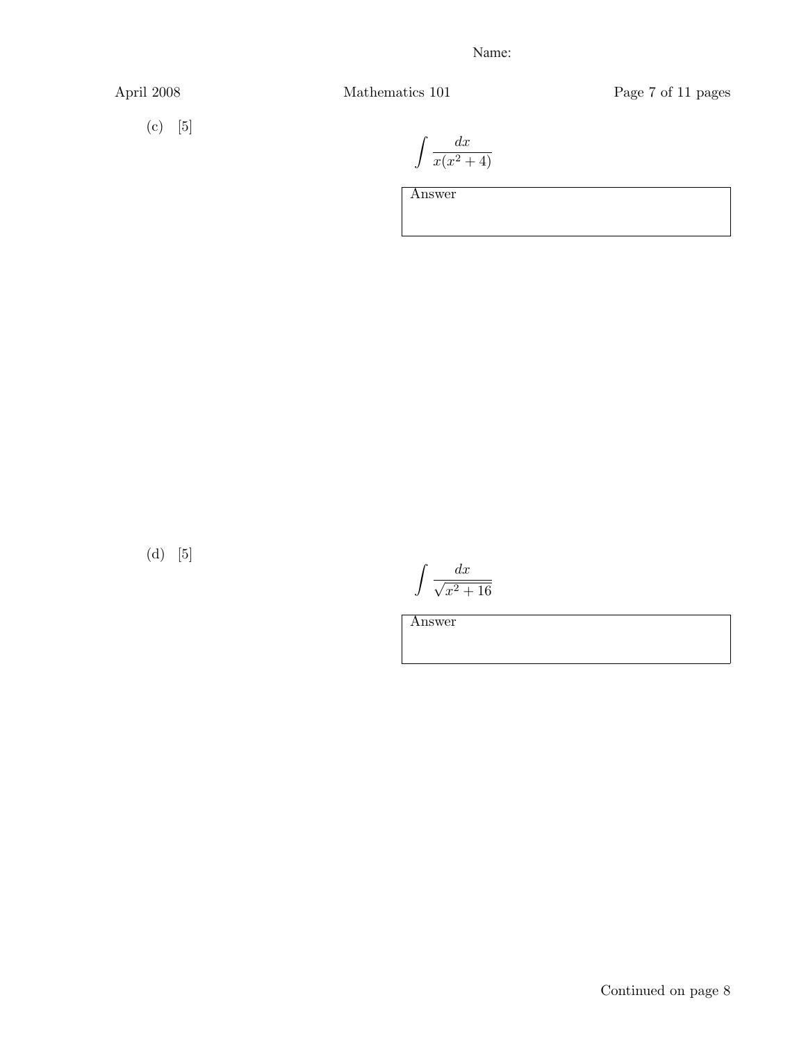April 2008 Mathematics 101 Page 7 of 11 pages

$$
(c) [5]
$$

$$
\int \frac{dx}{x(x^2+4)}
$$

Answer

(d)  $\;$  [5]

 $\int$  dx  $\sqrt{x^2+16}$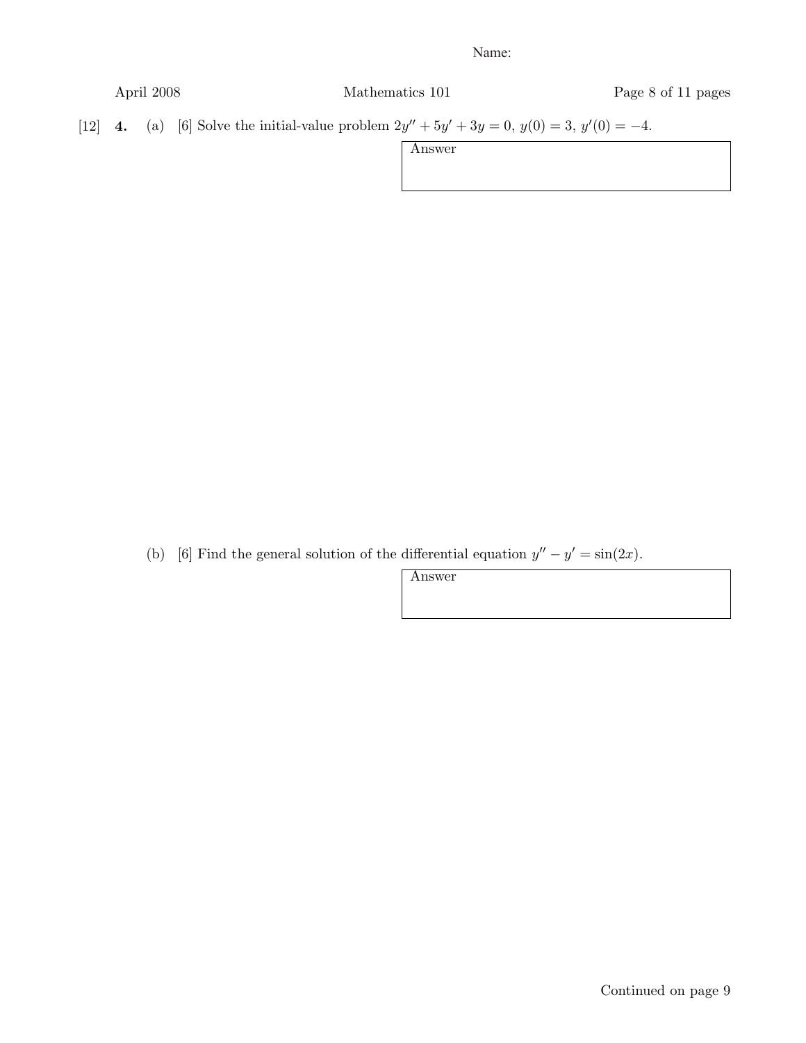| April 2008 | Mathematics 101 |
|------------|-----------------|
|            |                 |

Page 8 of 11 pages

[12] 4. (a) [6] Solve the initial-value problem  $2y'' + 5y' + 3y = 0$ ,  $y(0) = 3$ ,  $y'(0) = -4$ .

Answer

(b) [6] Find the general solution of the differential equation  $y'' - y' = \sin(2x)$ .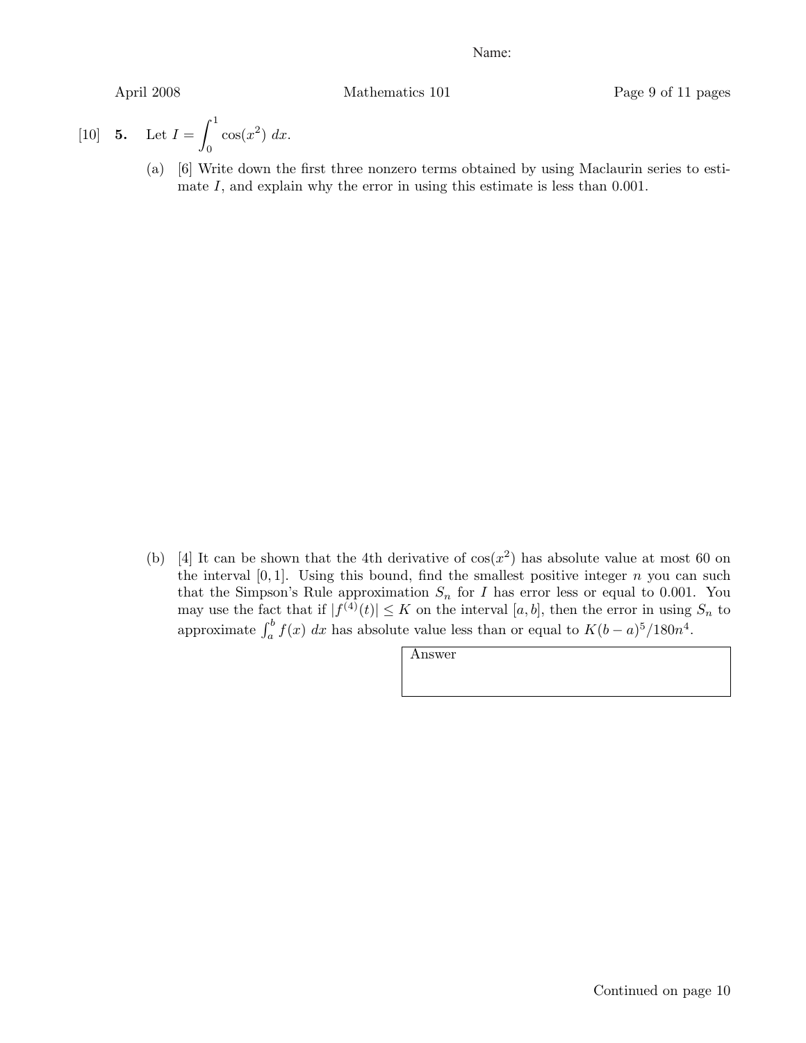April 2008 Mathematics 101 Page 9 of 11 pages

[10] **5.** Let 
$$
I = \int_0^1 \cos(x^2) dx
$$
.

(a) [6] Write down the first three nonzero terms obtained by using Maclaurin series to estimate *I*, and explain why the error in using this estimate is less than 0*.*001.

(b) [4] It can be shown that the 4th derivative of  $cos(x^2)$  has absolute value at most 60 on the interval  $[0,1]$ . Using this bound, find the smallest positive integer  $n$  you can such that the Simpson's Rule approximation  $S_n$  for *I* has error less or equal to 0.001. You may use the fact that if  $|f^{(4)}(t)| \leq K$  on the interval  $[a, b]$ , then the error in using  $S_n$  to approximate  $\int_a^b f(x) dx$  has absolute value less than or equal to  $K(b-a)^5/180n^4$ .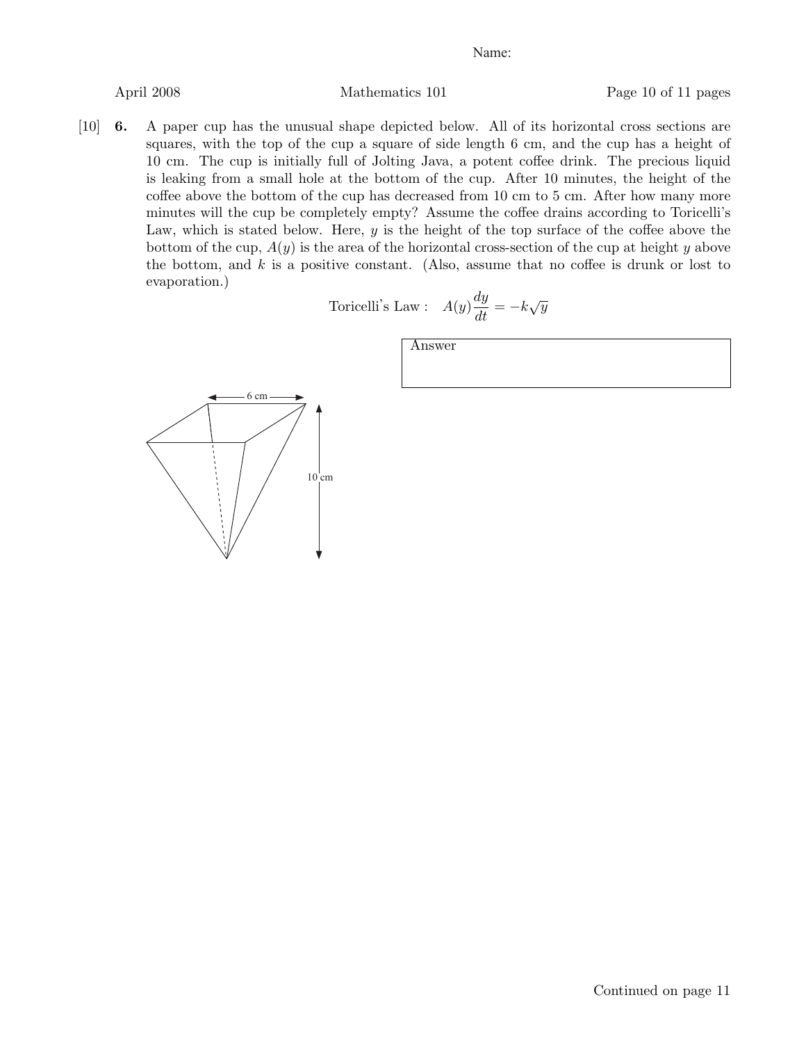April 2008 Mathematics 101 Page 10 of 11 pages

[10] 6. A paper cup has the unusual shape depicted below. All of its horizontal cross sections are squares, with the top of the cup a square of side length 6 cm, and the cup has a height of 10 cm. The cup is initially full of Jolting Java, a potent coffee drink. The precious liquid is leaking from a small hole at the bottom of the cup. After 10 minutes, the height of the coffee above the bottom of the cup has decreased from 10 cm to 5 cm. After how many more minutes will the cup be completely empty? Assume the coffee drains according to Toricelli's Law, which is stated below. Here, *y* is the height of the top surface of the coffee above the bottom of the cup, *A*(*y*) is the area of the horizontal cross-section of the cup at height *y* above the bottom, and *k* is a positive constant. (Also, assume that no coffee is drunk or lost to evaporation.)

Toricelli's Law : 
$$
A(y)\frac{dy}{dt} = -k\sqrt{y}
$$